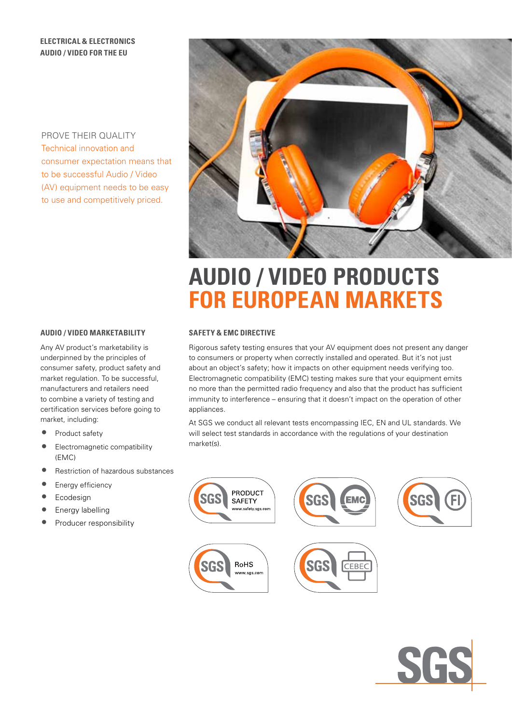# **Electrical & electronics AUDIO / VIDEO for the eu**

PROVE THEIR QUALITY Technical innovation and consumer expectation means that to be successful Audio / Video (AV) equipment needs to be easy to use and competitively priced.



# **AUDIO / VIDEO PRODUCTS for european markets**

# **SAFETY & EMC DIRECTIVE**

Rigorous safety testing ensures that your AV equipment does not present any danger to consumers or property when correctly installed and operated. But it's not just about an object's safety; how it impacts on other equipment needs verifying too. Electromagnetic compatibility (EMC) testing makes sure that your equipment emits no more than the permitted radio frequency and also that the product has sufficient immunity to interference – ensuring that it doesn't impact on the operation of other appliances.

At SGS we conduct all relevant tests encompassing IEC, EN and UL standards. We will select test standards in accordance with the regulations of your destination market(s).





#### **AUDIO / VIDEO MARKETABILITY**

Any AV product's marketability is underpinned by the principles of consumer safety, product safety and market regulation. To be successful, manufacturers and retailers need to combine a variety of testing and certification services before going to market, including:

- Product safety
- Electromagnetic compatibility (EMC)
- Restriction of hazardous substances
- Energy efficiency
- Ecodesign
- Energy labelling
- Producer responsibility